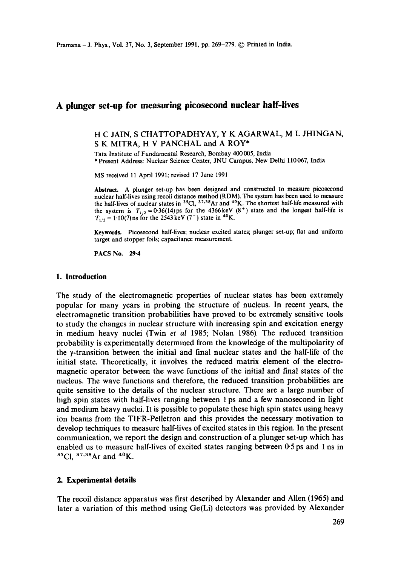# **A plunger set-up for measuring picosecond nuclear half-lives**

#### H C JAIN, S CHATTOPADHYAY, Y K AGARWAL, M L JHINGAN, S K MITRA, H V PANCHAL and A ROY\*

Tata Institute of Fundamental Research, Bombay 400005, India \* Present Address: Nuclear Science Center, JNU Campus, New Delhi 110067, India

MS received 11 April 1991; revised 17 June 1991

**Abstract.** A plunger set-up has been designed and constructed to measure picosecond nuclear half-lives using recoil distance method (RDM). The system has been used to **measure**  the half-lives of nuclear states in  $35^{\circ}$ Cl,  $37.38$ Ar and  $40^{\circ}$ K. The shortest half-life measured with the system is  $T_{1/2}=0.36(14)$  ps for the 4366 keV (8<sup>+</sup>) state and the longest half-life is  $T_{1/2} = 1.10(7)$  ns for the 2543 keV (7<sup>+</sup>) state in <sup>40</sup>K.

**Keywords.** Picosecond half-lives; nuclear excited states; plunger set-up; fiat and uniform target and stopper foils; capacitance measurement.

PACS No. 29.4

#### **1. Introduction**

The study of the electromagnetic properties of nuclear states has been extremely popular for many years in probing the structure of nucleus. In recent years, the electromagnetic transition probabilities have proved to be extremely sensitive tools to study the changes in nuclear structure with increasing spin and excitation energy in medium heavy nuclei (Twin *et al* 1985; Nolan 1986). The reduced transition probability is experimentally determined from the knowledge of the multipolarity of the  $\gamma$ -transition between the initial and final nuclear states and the half-life of the initial state. Theoretically, it involves the reduced matrix element of the electromagnetic operator between the wave functions of the initial and final states of the nucleus. The wave functions and therefore, the reduced transition probabilities are quite sensitive to the details of the nuclear structure. There are a large number of high spin states with half-lives ranging between 1 ps and a few nanosecond in light and medium heavy nuclei. It is possible to populate these high spin states using heavy ion beams from the TIFR-Pelletron and this provides the necessary motivation to develop techniques to measure half-lives of excited states in this region. In the present communication, we report the design and construction of a plunger set-up which has enabled us to measure half-lives of excited states ranging between 0.5 ps and 1 ns in  $35$ Cl,  $37,38$ Ar and  $40$ K.

#### **2. Experimental details**

The recoil distance apparatus was first described by Alexander and Allen (1965) and later a variation of this method using Ge(Li) detectors was provided by Alexander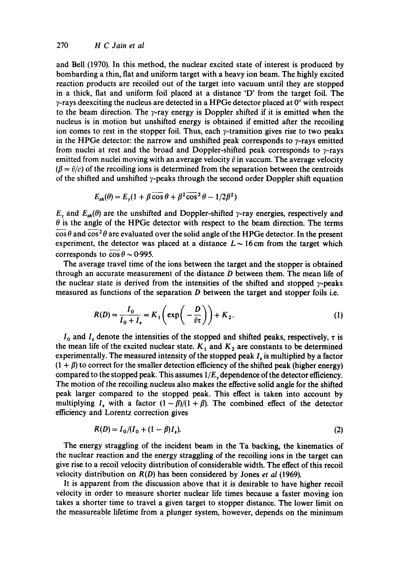and Bell (1970). In this method, the nuclear excited state of interest is produced by bombarding a thin, fiat and uniform target with a heavy ion beam. The highly excited reaction products are recoiled out of the target into vacuum until they are stopped in a thick, flat and uniform foil placed at a distance 'D' from the target foil. The  $\gamma$ -rays deexciting the nucleus are detected in a HPGe detector placed at  $0^{\circ}$  with respect to the beam direction. The  $\gamma$ -ray energy is Doppler shifted if it is emitted when the nucleus is in motion but unshifted energy is obtained if emitted after the recoiling ion comes to rest in the stopper foil. Thus, each  $\gamma$ -transition gives rise to two peaks in the HPGe detector: the narrow and unshifted peak corresponds to  $y$ -rays emitted from nuclei at rest and the broad and Doppler-shifted peak corresponds to  $\gamma$ -rays emitted from nuclei moving with an average velocity  $\bar{v}$  in vaccum. The average velocity  $(\beta = \bar{v}/c)$  of the recoiling ions is determined from the separation between the centroids of the shifted and unshifted  $\gamma$ -peaks through the second order Doppler shift equation

$$
E_{sh}(\theta) = E_{\gamma}(1 + \beta \cos \theta + \beta^2 \cos^2 \theta - 1/2\beta^2)
$$

 $E_{\gamma}$  and  $E_{sh}(\theta)$  are the unshifted and Doppler-shifted  $\gamma$ -ray energies, respectively and  $\theta$  is the angle of the HPGe detector with respect to the beam direction. The terms  $\overline{\cos \theta}$  and  $\overline{\cos^2 \theta}$  are evaluated over the solid angle of the HPGe detector. In the present experiment, the detector was placed at a distance  $L \sim 16$  cm from the target which corresponds to  $\cos \theta \sim 0.995$ .

The average travel time of the ions between the target and the stopper is obtained through an accurate measurement of the distance  $D$  between them. The mean life of the nuclear state is derived from the intensities of the shifted and stopped  $\gamma$ -peaks measured as functions of the separation  $D$  between the target and stopper foils i.e.

$$
R(D) = \frac{I_0}{I_0 + I_s} = K_1 \left( \exp\left( -\frac{D}{\bar{v}\tau} \right) \right) + K_2.
$$
 (1)

 $I_0$  and  $I_s$  denote the intensities of the stopped and shifted peaks, respectively,  $\tau$  is the mean life of the excited nuclear state.  $K_1$  and  $K_2$  are constants to be determined experimentally. The measured intensity of the stopped peak  $I<sub>s</sub>$  is multiplied by a factor  $(1 + \beta)$  to correct for the smaller detection efficiency of the shifted peak (higher energy) compared to the stopped peak. This assumes *1/E~* dependence of the detector efficiency. The motion of the recoiling nucleus also makes the effective solid angle for the shifted peak larger compared to the stopped peak. This effect is taken into account by multiplying I<sub>s</sub> with a factor  $(1 - \beta)/(1 + \beta)$ . The combined effect of the detector efficiency and Lorentz correction gives

$$
R(D) = I_0 / (I_0 + (1 - \beta)I_s). \tag{2}
$$

The energy straggling of the incident beam in the Ta backing, the kinematics of the nuclear reaction and the energy straggling of the recoiling ions in the target can give rise to a recoil velocity distribution of considerable width. The effect of this recoil velocity distribution on *R(D)* has been considered by Jones *et al* (1969).

It is apparent from the discussion above that it is desirable to have higher recoil velocity in order to measure shorter nuclear life times because a faster moving ion takes a shorter time to travel a given target to stopper distance. The lower limit on the measureable lifetime from a plunger system, however, depends on the minimum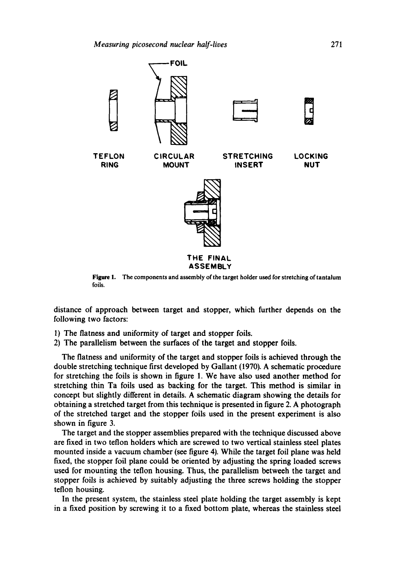

**Figure 1.**  The components and assembly of the target holder used for stretching of tantalum foils.

distance of approach between target and stopper, which further depends on the following two factors:

- 1) The flatness and uniformity of target and stopper foils.
- 2) The parallelism between the surfaces of the target and stopper foils.

The flatness and uniformity of the target and stopper foils is achieved through the double stretching technique first developed by Gallant (1970). A schematic procedure for stretching the foils is shown in figure 1. We have also used another method for stretching thin Ta foils used as backing for the target. This method is similar in concept but slightly different in details. A schematic diagram showing the details for obtaining a stretched target from this technique is presented in figure 2. A photograph of the stretched target and the stopper foils used in the present experiment is also shown in figure 3.

The target and the stopper assemblies prepared with the technique discussed above are fixed in two teflon holders which are screwed to two vertical stainless steel plates mounted inside a vacuum chamber (see figure 4). While the target foil plane was held fixed, the stopper foil plane could be oriented by adjusting the spring loaded screws used for mounting the teflon housing. Thus, the parallelism betweeh the target and stopper foils is achieved by suitably adjusting the three screws holding the stopper teflon housing.

In the present system, the stainless steel plate holding the target assembly is kept in a fixed position by screwing it to a fixed bottom plate, whereas the stainless steel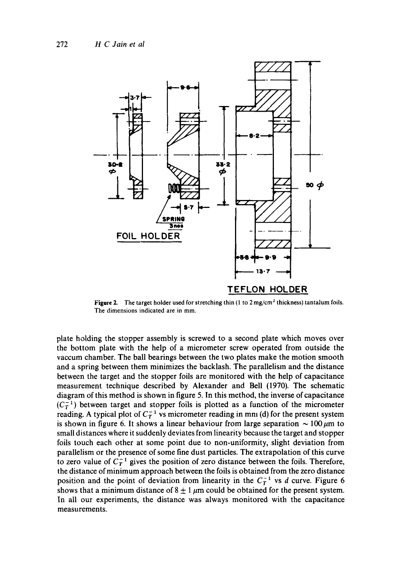

**Figure** 2. The target holder used for stretching thin (1 to 2 mg/cm' thickness) tantalum foils. The dimensions indicated are in mm.

plate holding the stopper assembly is screwed to a second plate which moves over the bottom plate with the help of a micrometer screw operated from outside the vaccum chamber. The ball bearings between the two plates make the motion smooth and a spring between them minimizes the backlash. The parallelism and the distance between the target and the stopper foils are monitored with the help of capacitance measurement technique described by Alexander and Bell (1970). The schematic diagram of this method is shown in figure 5. In this method, the inverse of capacitance  $(C_T^{-1})$  between target and stopper foils is plotted as a function of the micrometer reading. A typical plot of  $C_T^{-1}$  vs micrometer reading in mm (d) for the present system is shown in figure 6. It shows a linear behaviour from large separation  $\sim 100 \mu m$  to small distances where it suddenly deviates from linearity because the target and stopper foils touch each other at some point due to non-uniformity, slight deviation from parallelism or the presence of some fine dust particles. The extrapolation of this curve to zero value of  $C_T^{-1}$  gives the position of zero distance between the foils. Therefore, the distance of minimum approach between the foils is obtained from the zero distance position and the point of deviation from linearity in the  $C_T^{-1}$  vs d curve. Figure 6 shows that a minimum distance of  $8 \pm 1 \mu$ m could be obtained for the present system. In all our experiments, the distance was always monitored with the capacitance measurements.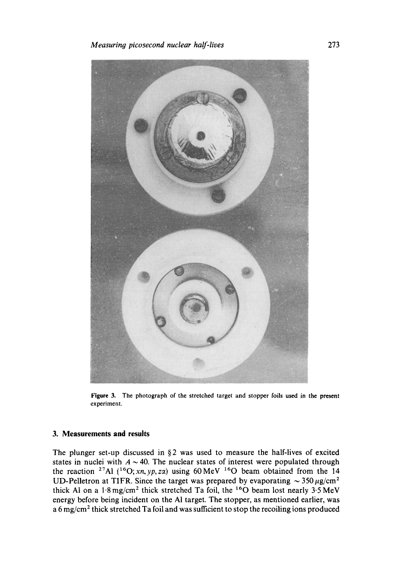

**Figure 3. The photograph of the stretched** target and stopper foils **used in the present**  experiment.

### **3. Measurements and results**

The plunger set-up discussed in §2 was used to measure the half-lives of excited states in nuclei with  $A \sim 40$ . The nuclear states of interest were populated through the reaction <sup>27</sup>Al  $(^{16}O;xn,yp, z\alpha)$  using 60 MeV <sup>16</sup>O beam obtained from the 14 UD-Pelletron at TIFR. Since the target was prepared by evaporating  $\sim 350 \,\mu$ g/cm<sup>2</sup> thick Al on a  $1.8 \text{ mg/cm}^2$  thick stretched Ta foil, the  $160$  beam lost nearly  $3.5 \text{ MeV}$ energy before being incident on the AI target. The stopper, as mentioned earlier, was a 6 mg/cm<sup>2</sup> thick stretched Ta foil and was sufficient to stop the recoiling ions produced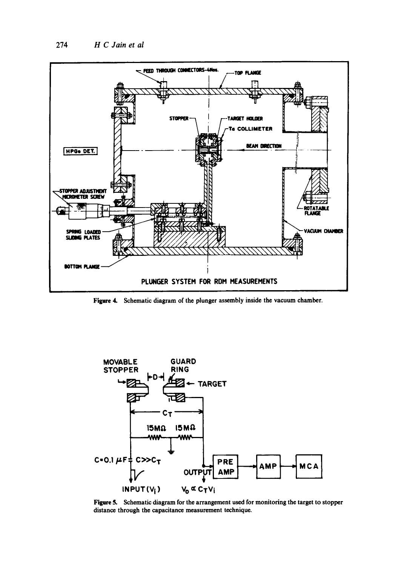

Figure 4. Schematic diagram of the plunger assembly inside the vacuum chamber.



Figure 5. Schematic diagram for the arrangement used for monitoring the target to stopper distance through the capacitance measurement technique.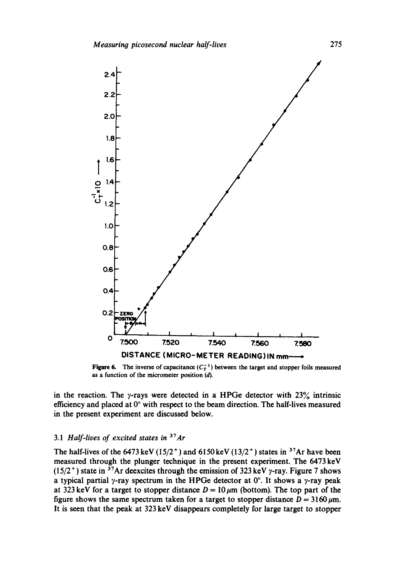

Figure 6. The inverse of capacitance  $(C_T^{-1})$  between the target and stopper foils measured as a function of the micrometer position (d).

in the reaction. The  $\gamma$ -rays were detected in a HPGe detector with 23% intrinsic efficiency and placed at  $0^{\circ}$  with respect to the beam direction. The half-lives measured in the present experiment are discussed below.

## 3.1 *Half-lives of excited states in 3TAr*

The half-lives of the 6473 keV (15/2<sup>+</sup>) and 6150 keV (13/2<sup>+</sup>) states in <sup>37</sup>Ar have been measured through the plunger technique in the present experiment. The 6473 keV (15/2<sup>+</sup>) state in <sup>37</sup>Ar deexcites through the emission of 323 keV y-ray. Figure 7 shows a typical partial  $\gamma$ -ray spectrum in the HPGe detector at  $0^\circ$ . It shows a  $\gamma$ -ray peak at 323 keV for a target to stopper distance  $D = 10 \mu m$  (bottom). The top part of the figure shows the same spectrum taken for a target to stopper distance  $D = 3160 \,\mu\text{m}$ . It is seen that the peak at 323 keV disappears completely for large target to stopper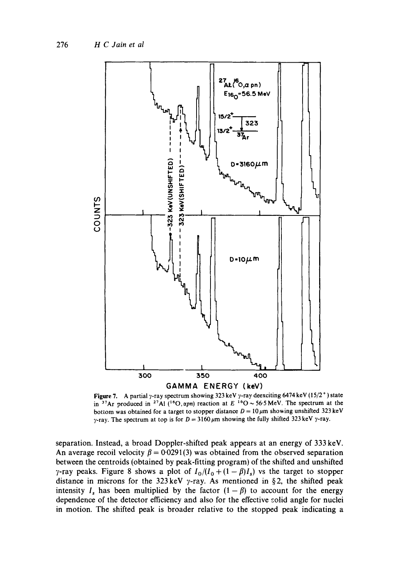

Figure 7. A partial y-ray spectrum showing 323 keV y-ray deexciting 6474 keV (15/2<sup>+</sup>) state in <sup>37</sup>Ar produced in <sup>27</sup>AI (<sup>16</sup>O, *apn*) reaction at  $E^{-16}$ O ~ 56.5 MeV. The spectrum at the bottom was obtained for a target to stopper distance  $D = 10 \mu m$  showing unshifted 323 keV  $\gamma$ -ray. The spectrum at top is for  $D = 3160 \,\mu\text{m}$  showing the fully shifted 323 keV  $\gamma$ -ray.

separation. Instead, a broad Doppler-shifted peak appears at an energy of 333 keV. An average recoil velocity  $\beta = 0.0291(3)$  was obtained from the observed separation between the centroids (obtained by peak-fitting program) of the shifted and unshifted  $\gamma$ -ray peaks. Figure 8 shows a plot of  $I_0/(I_0 + (1 - \beta)I_s)$  vs the target to stopper distance in microns for the 323 keV  $\gamma$ -ray. As mentioned in §2, the shifted peak intensity I<sub>s</sub> has been multiplied by the factor  $(1 - \beta)$  to account for the energy dependence of the detector efficiency and also for the effective solid angle for nuclei in motion. The shifted peak is broader relative to the stopped peak indicating a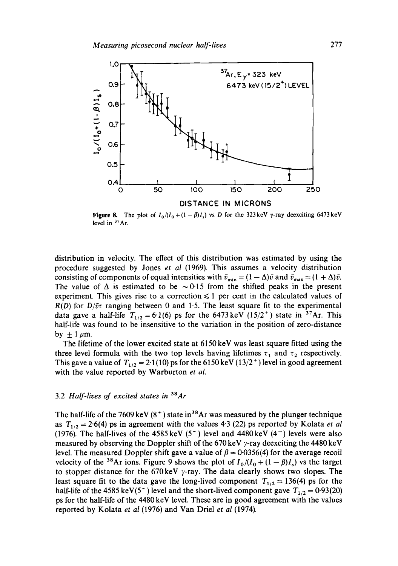

Figure 8. The plot of  $I_0/(I_0 + (1 - \beta)I_s)$  vs D for the 323 keV y-ray deexciting 6473 keV level in  $37\text{Ar}$ .

distribution in velocity. The effect of this distribution was estimated by using the procedure suggested by Jones *et al* (1969). This assumes a velocity distribution consisting of components of equal intensities with  $\bar{v}_{min} = (1 - \Delta)\bar{v}$  and  $\bar{v}_{max} = (1 + \Delta)\bar{v}$ . The value of  $\Delta$  is estimated to be  $\sim 0.15$  from the shifted peaks in the present experiment. This gives rise to a correction  $\leq 1$  per cent in the calculated values of  $R(D)$  for  $D/\bar{v}\tau$  ranging between 0 and 1.5. The least square fit to the experimental data gave a half-life  $T_{1/2} = 6.1(6)$  ps for the 6473 keV (15/2<sup>+</sup>) state in <sup>37</sup>Ar. This half-life was found to be insensitive to the variation in the position of zero-distance by  $\pm 1 \mu m$ .

The lifetime of the lower excited state at 6150 keV was least square fitted using the three level formula with the two top levels having lifetimes  $\tau_1$  and  $\tau_2$  respectively. This gave a value of  $T_{1/2} = 2.1(10)$  ps for the 6150 keV (13/2<sup>+</sup>) level in good agreement with the value reported by Warburton *et al.* 

#### 3.2 *Half-lives of excited states in 3BAr*

The half-life of the 7609 keV  $(8^+)$  state in<sup>38</sup>Ar was measured by the plunger technique as  $T_{1/2} = 2.6(4)$  ps in agreement with the values 4.3 (22) ps reported by Kolata *et al* (1976). The half-lives of the 4585 keV  $(5^-)$  level and 4480 keV  $(4^-)$  levels were also measured by observing the Doppler shift of the 670 keV  $\gamma$ -ray deexciting the 4480 keV level. The measured Doppler shift gave a value of  $\beta = 0.0356(4)$  for the average recoil velocity of the <sup>38</sup>Ar ions. Figure 9 shows the plot of  $I_0/(I_0 + (1 - \beta)I_s)$  vs the target to stopper distance for the 670 keV  $\gamma$ -ray. The data clearly shows two slopes. The least square fit to the data gave the long-lived component  $T_{1/2} = 136(4)$  ps for the half-life of the 4585 keV(5<sup>-</sup>) level and the short-lived component gave  $T_{1/2} = 0.93(20)$ ps for the half-life of the 4480 keV level. These are in good agreement with the values reported by Kolata *et al* (1976) and Van Driel *et al* (1974).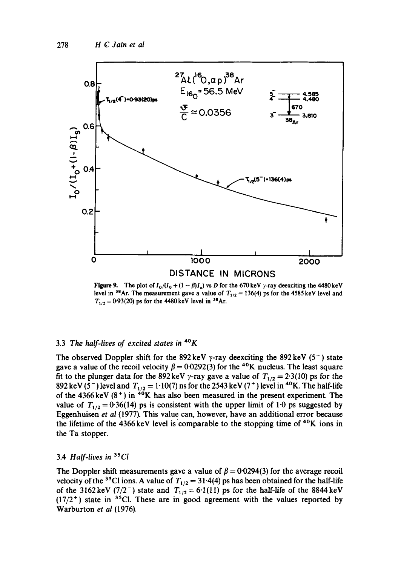

Figure 9. The plot of  $I_0/(I_0 + (1 - \beta)I_s)$  vs D for the 670 keV y-ray deexciting the 4480 keV level in <sup>38</sup>Ar. The measurement gave a value of  $T_{1/2} = 136(4)$  ps for the 4585 keV level and  $T_{1/2} = 0.93(20)$  ps for the 4480 keV level in <sup>38</sup>Ar.

### 3.3 *The half-lives of excited states in 4°K*

The observed Doppler shift for the 892 keV y-ray deexciting the 892 keV (5<sup>-</sup>) state gave a value of the recoil velocity  $\beta = 0.0292(3)$  for the <sup>40</sup>K nucleus. The least square fit to the plunger data for the 892 keV y-ray gave a value of  $T_{1/2} = 2.3(10)$  ps for the 892 keV (5<sup>-</sup>) level and  $T_{1/2} = 1.10(7)$  ns for the 2543 keV (7<sup>+</sup>) level in <sup>40</sup>K. The half-life of the 4366 keV  $(8^+)$  in <sup>40</sup>K has also been measured in the present experiment. The value of  $T_{1/2} = 0.36(14)$  ps is consistent with the upper limit of 1.0 ps suggested by Eggenhuisen *et al* (1977). This value can, however, have an additional error because the lifetime of the 4366 keV level is comparable to the stopping time of  $40K$  ions in the Ta stopper.

### 3.4 *Half-lives in 3SCl*

The Doppler shift measurements gave a value of  $\beta = 0.0294(3)$  for the average recoil velocity of the <sup>35</sup>Cl ions. A value of  $T_{1/2} = 31.4(4)$  ps has been obtained for the half-life of the 3162 keV ( $7/2^-$ ) state and  $T_{1/2} = 6.1(11)$  ps for the half-life of the 8844 keV  $(17/2^+)$  state in <sup>35</sup>Cl. These are in good agreement with the values reported by Warburton *et al* (1976).